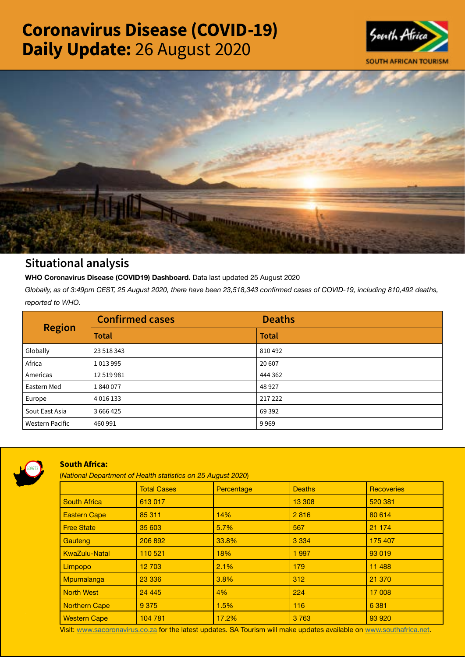# Coronavirus Disease (COVID-19) Daily Update: 26 August 2020





## Situational analysis

**WHO Coronavirus Disease (COVID19) Dashboard.** Data last updated 25 August 2020

*Globally, as of 3:49pm CEST, 25 August 2020, there have been 23,518,343 confirmed cases of COVID-19, including 810,492 deaths, reported to WHO.*

| <b>Region</b>          | <b>Confirmed cases</b> | <b>Deaths</b> |
|------------------------|------------------------|---------------|
|                        | <b>Total</b>           | <b>Total</b>  |
| Globally               | 23 518 343             | 810492        |
| Africa                 | 1013995                | 20 607        |
| Americas               | 12 519 981             | 444 362       |
| Eastern Med            | 1840077                | 48 9 27       |
| Europe                 | 4 0 1 6 1 3 3          | 217 222       |
| Sout East Asia         | 3666425                | 69 3 92       |
| <b>Western Pacific</b> | 460 991                | 9969          |



### South Africa:

(*National Department of Health statistics on 25 August 2020*)

|                      | <b>Total Cases</b> | Percentage | <b>Deaths</b> | <b>Recoveries</b> |  |
|----------------------|--------------------|------------|---------------|-------------------|--|
| <b>South Africa</b>  | 613 017            |            | 13 308        | 520 381           |  |
| <b>Eastern Cape</b>  | 85 311             | 14%        | 2816          | 80 614            |  |
| <b>Free State</b>    | 35 603             | 5.7%       | 567           | 21 174            |  |
| Gauteng              | 206 892            | 33.8%      | 3 3 3 4       | 175 407           |  |
| <b>KwaZulu-Natal</b> | 110 521            | 18%        | 1997          | 93 019            |  |
| Limpopo              | 12 703             | 2.1%       | 179           | 11 4 8 8          |  |
| Mpumalanga           | 23 336             | 3.8%       | 312           | 21 370            |  |
| <b>North West</b>    | 24 4 4 5           | 4%         | 224           | 17 008            |  |
| Northern Cape        | 9 3 7 5            | 1.5%       | 116           | 6 3 8 1           |  |
| <b>Western Cape</b>  | 104 781            | 17.2%      | 3763          | 93 920            |  |

Visit: [www.sacoronavirus.co.za](http://www.sacoronavirus.co.za) for the latest updates. SA Tourism will make updates available on [www.southafrica.net.](http://www.southafrica.net)